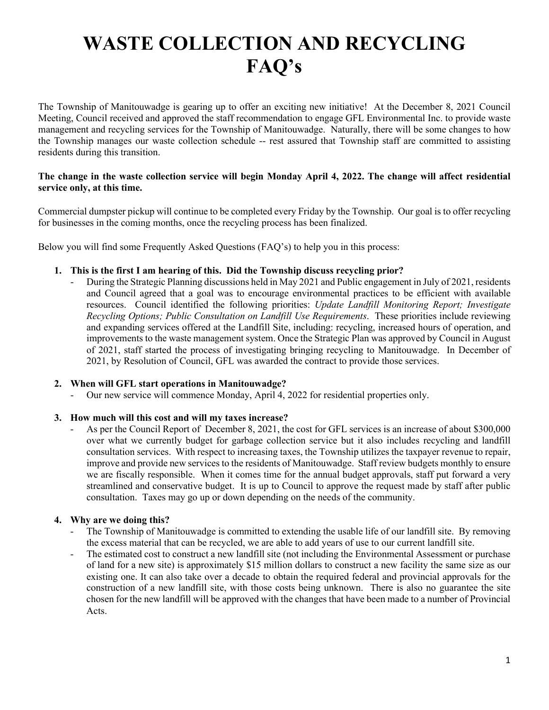The Township of Manitouwadge is gearing up to offer an exciting new initiative! At the December 8, 2021 Council Meeting, Council received and approved the staff recommendation to engage GFL Environmental Inc. to provide waste management and recycling services for the Township of Manitouwadge. Naturally, there will be some changes to how the Township manages our waste collection schedule -- rest assured that Township staff are committed to assisting residents during this transition.

## **The change in the waste collection service will begin Monday April 4, 2022. The change will affect residential service only, at this time.**

Commercial dumpster pickup will continue to be completed every Friday by the Township. Our goal is to offer recycling for businesses in the coming months, once the recycling process has been finalized.

Below you will find some Frequently Asked Questions (FAQ's) to help you in this process:

### **1. This is the first I am hearing of this. Did the Township discuss recycling prior?**

- During the Strategic Planning discussions held in May 2021 and Public engagement in July of 2021, residents and Council agreed that a goal was to encourage environmental practices to be efficient with available resources. Council identified the following priorities: *Update Landfill Monitoring Report; Investigate Recycling Options; Public Consultation on Landfill Use Requirements*. These priorities include reviewing and expanding services offered at the Landfill Site, including: recycling, increased hours of operation, and improvements to the waste management system. Once the Strategic Plan was approved by Council in August of 2021, staff started the process of investigating bringing recycling to Manitouwadge. In December of 2021, by Resolution of Council, GFL was awarded the contract to provide those services.

## **2. When will GFL start operations in Manitouwadge?**

Our new service will commence Monday, April 4, 2022 for residential properties only.

## **3. How much will this cost and will my taxes increase?**

As per the Council Report of December 8, 2021, the cost for GFL services is an increase of about \$300,000 over what we currently budget for garbage collection service but it also includes recycling and landfill consultation services. With respect to increasing taxes, the Township utilizes the taxpayer revenue to repair, improve and provide new services to the residents of Manitouwadge. Staff review budgets monthly to ensure we are fiscally responsible. When it comes time for the annual budget approvals, staff put forward a very streamlined and conservative budget. It is up to Council to approve the request made by staff after public consultation. Taxes may go up or down depending on the needs of the community.

## **4. Why are we doing this?**

- The Township of Manitouwadge is committed to extending the usable life of our landfill site. By removing the excess material that can be recycled, we are able to add years of use to our current landfill site.
- The estimated cost to construct a new landfill site (not including the Environmental Assessment or purchase of land for a new site) is approximately \$15 million dollars to construct a new facility the same size as our existing one. It can also take over a decade to obtain the required federal and provincial approvals for the construction of a new landfill site, with those costs being unknown. There is also no guarantee the site chosen for the new landfill will be approved with the changes that have been made to a number of Provincial Acts.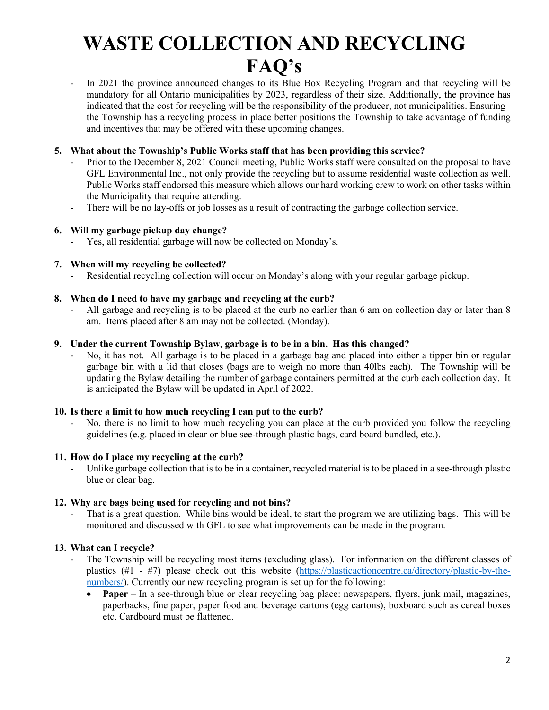In 2021 the province announced changes to its Blue Box Recycling Program and that recycling will be mandatory for all Ontario municipalities by 2023, regardless of their size. Additionally, the province has indicated that the cost for recycling will be the responsibility of the producer, not municipalities. Ensuring the Township has a recycling process in place better positions the Township to take advantage of funding and incentives that may be offered with these upcoming changes.

## **5. What about the Township's Public Works staff that has been providing this service?**

- Prior to the December 8, 2021 Council meeting, Public Works staff were consulted on the proposal to have GFL Environmental Inc., not only provide the recycling but to assume residential waste collection as well. Public Works staff endorsed this measure which allows our hard working crew to work on other tasks within the Municipality that require attending.
- There will be no lay-offs or job losses as a result of contracting the garbage collection service.

#### **6. Will my garbage pickup day change?**

- Yes, all residential garbage will now be collected on Monday's.

#### **7. When will my recycling be collected?**

- Residential recycling collection will occur on Monday's along with your regular garbage pickup.

#### **8. When do I need to have my garbage and recycling at the curb?**

All garbage and recycling is to be placed at the curb no earlier than 6 am on collection day or later than 8 am. Items placed after 8 am may not be collected. (Monday).

#### **9. Under the current Township Bylaw, garbage is to be in a bin. Has this changed?**

No, it has not. All garbage is to be placed in a garbage bag and placed into either a tipper bin or regular garbage bin with a lid that closes (bags are to weigh no more than 40lbs each). The Township will be updating the Bylaw detailing the number of garbage containers permitted at the curb each collection day. It is anticipated the Bylaw will be updated in April of 2022.

#### **10. Is there a limit to how much recycling I can put to the curb?**

- No, there is no limit to how much recycling you can place at the curb provided you follow the recycling guidelines (e.g. placed in clear or blue see-through plastic bags, card board bundled, etc.).

#### **11. How do I place my recycling at the curb?**

Unlike garbage collection that is to be in a container, recycled material is to be placed in a see-through plastic blue or clear bag.

#### **12. Why are bags being used for recycling and not bins?**

That is a great question. While bins would be ideal, to start the program we are utilizing bags. This will be monitored and discussed with GFL to see what improvements can be made in the program.

#### **13. What can I recycle?**

- The Township will be recycling most items (excluding glass). For information on the different classes of plastics (#1 - #7) please check out this website [\(https://plasticactioncentre.ca/directory/plastic-by-the](https://plasticactioncentre.ca/directory/plastic-by-the-numbers/)[numbers/\)](https://plasticactioncentre.ca/directory/plastic-by-the-numbers/). Currently our new recycling program is set up for the following:
	- **Paper** In a see-through blue or clear recycling bag place: newspapers, flyers, junk mail, magazines, paperbacks, fine paper, paper food and beverage cartons (egg cartons), boxboard such as cereal boxes etc. Cardboard must be flattened.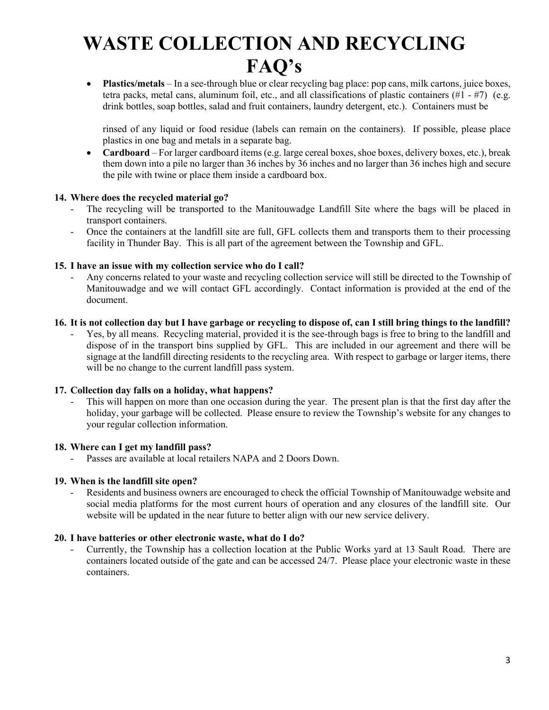• **Plastics/metals** – In a see-through blue or clear recycling bag place: pop cans, milk cartons, juice boxes, tetra packs, metal cans, aluminum foil, etc., and all classifications of plastic containers  $(\#1 - \#7)$  (e.g. drink bottles, soap bottles, salad and fruit containers, laundry detergent, etc.). Containers must be

rinsed of any liquid or food residue (labels can remain on the containers). If possible, please place plastics in one bag and metals in a separate bag.

• **Cardboard** – For larger cardboard items (e.g. large cereal boxes, shoe boxes, delivery boxes, etc.), break them down into a pile no larger than 36 inches by 36 inches and no larger than 36 inches high and secure the pile with twine or place them inside a cardboard box.

## **14. Where does the recycled material go?**

- The recycling will be transported to the Manitouwadge Landfill Site where the bags will be placed in transport containers.
- Once the containers at the landfill site are full, GFL collects them and transports them to their processing facility in Thunder Bay. This is all part of the agreement between the Township and GFL.

### **15. I have an issue with my collection service who do I call?**

- Any concerns related to your waste and recycling collection service will still be directed to the Township of Manitouwadge and we will contact GFL accordingly. Contact information is provided at the end of the document.

### **16. It is not collection day but I have garbage or recycling to dispose of, can I still bring things to the landfill?**

Yes, by all means. Recycling material, provided it is the see-through bags is free to bring to the landfill and dispose of in the transport bins supplied by GFL. This are included in our agreement and there will be signage at the landfill directing residents to the recycling area. With respect to garbage or larger items, there will be no change to the current landfill pass system.

#### **17. Collection day falls on a holiday, what happens?**

This will happen on more than one occasion during the year. The present plan is that the first day after the holiday, your garbage will be collected. Please ensure to review the Township's website for any changes to your regular collection information.

## **18. Where can I get my landfill pass?**

Passes are available at local retailers NAPA and 2 Doors Down.

### **19. When is the landfill site open?**

Residents and business owners are encouraged to check the official Township of Manitouwadge website and social media platforms for the most current hours of operation and any closures of the landfill site. Our website will be updated in the near future to better align with our new service delivery.

#### **20. I have batteries or other electronic waste, what do I do?**

- Currently, the Township has a collection location at the Public Works yard at 13 Sault Road. There are containers located outside of the gate and can be accessed 24/7. Please place your electronic waste in these containers.